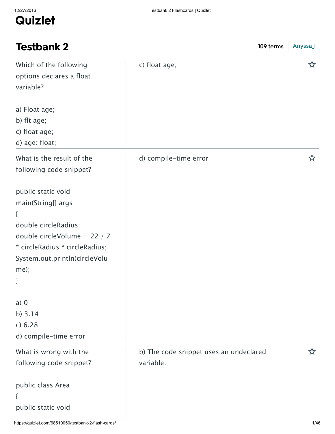| <b>Testbank 2</b>                                                                                                                                                                        | 109 terms                                           | Anyssa_I |
|------------------------------------------------------------------------------------------------------------------------------------------------------------------------------------------|-----------------------------------------------------|----------|
| Which of the following<br>options declares a float<br>variable?                                                                                                                          | c) float age;                                       | な        |
| a) Float age;<br>b) flt age;<br>c) float age;<br>d) age: float;                                                                                                                          |                                                     |          |
| What is the result of the<br>following code snippet?                                                                                                                                     | d) compile-time error                               | ☆        |
| public static void<br>main(String[] args<br>$\{$<br>double circleRadius;<br>double circleVolume = 22 / 7<br>* circleRadius * circleRadius;<br>System.out.println(circleVolu<br>me);<br>} |                                                     |          |
| $a)$ 0<br>b) $3.14$<br>c) 6.28<br>d) compile-time error                                                                                                                                  |                                                     |          |
| What is wrong with the<br>following code snippet?                                                                                                                                        | b) The code snippet uses an undeclared<br>variable. | 5.7      |
| public class Area<br>public static void                                                                                                                                                  |                                                     |          |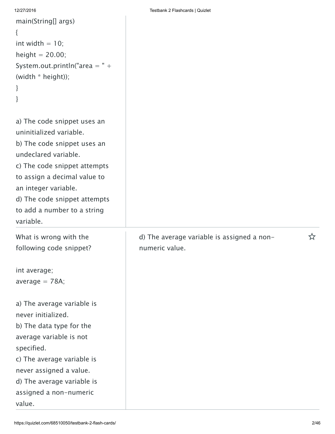```
main(String[] args)
{
int width = 10;
height = 20.00;
System.out.println("area = " +(width * height));
}
}
```
a) The code snippet uses an uninitialized variable. b) The code snippet uses an undeclared variable.

c) The code snippet attempts to assign a decimal value to an integer variable.

d) The code snippet attempts

to add a number to a string

What is wrong with the following code snippet?

int average;

variable.

average  $= 78A$ ;

a) The average variable is never initialized. b) The data type for the

average variable is not specified.

c) The average variable is never assigned a value.

d) The average variable is assigned a non-numeric

value.

numeric value.

d) The average variable is assigned a non-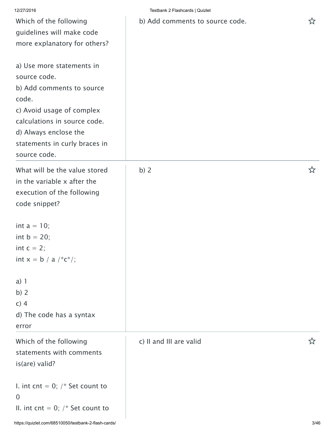| 12/27/2016                                                                                                                                                                                                             | Testbank 2 Flashcards   Quizlet |   |
|------------------------------------------------------------------------------------------------------------------------------------------------------------------------------------------------------------------------|---------------------------------|---|
| Which of the following<br>guidelines will make code<br>more explanatory for others?                                                                                                                                    | b) Add comments to source code. | ☆ |
| a) Use more statements in<br>source code.<br>b) Add comments to source<br>code.<br>c) Avoid usage of complex<br>calculations in source code.<br>d) Always enclose the<br>statements in curly braces in<br>source code. |                                 |   |
| What will be the value stored<br>in the variable x after the<br>execution of the following<br>code snippet?                                                                                                            | b) $2$                          | ☆ |
| int $a = 10$ ;<br>int $b = 20$ ;<br>int $c = 2$ ;<br>int $x = b / a / c^*c^*$ ;                                                                                                                                        |                                 |   |
| a) 1<br>b) $2$<br>$c)$ 4<br>d) The code has a syntax<br>error                                                                                                                                                          |                                 |   |
| Which of the following<br>statements with comments<br>is(are) valid?                                                                                                                                                   | c) II and III are valid         | ☆ |
| I. int cnt = 0; $/*$ Set count to<br>$\overline{0}$<br>II. int cnt = 0; $/*$ Set count to                                                                                                                              |                                 |   |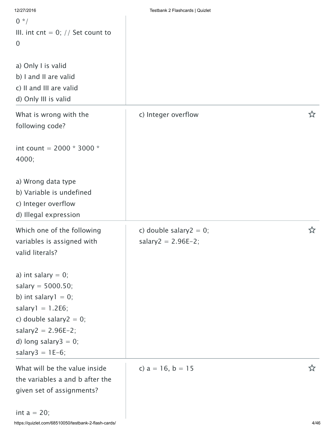| 12/27/2016                          | Testbank 2 Flashcards   Quizlet |   |
|-------------------------------------|---------------------------------|---|
| $0 * /$                             |                                 |   |
| III. int cnt = 0; $//$ Set count to |                                 |   |
| $\overline{0}$                      |                                 |   |
|                                     |                                 |   |
| a) Only I is valid                  |                                 |   |
| b) I and II are valid               |                                 |   |
| c) II and III are valid             |                                 |   |
| d) Only III is valid                |                                 |   |
|                                     |                                 |   |
| What is wrong with the              | c) Integer overflow             | ☆ |
| following code?                     |                                 |   |
|                                     |                                 |   |
| int count = $2000 * 3000 *$         |                                 |   |
| 4000;                               |                                 |   |
|                                     |                                 |   |
| a) Wrong data type                  |                                 |   |
| b) Variable is undefined            |                                 |   |
| c) Integer overflow                 |                                 |   |
| d) Illegal expression               |                                 |   |
| Which one of the following          | c) double salary $2 = 0$ ;      | ☆ |
| variables is assigned with          | salary2 = $2.96E-2$ ;           |   |
| valid literals?                     |                                 |   |
|                                     |                                 |   |
| a) int salary $= 0$ ;               |                                 |   |
| salary = $5000.50$ ;                |                                 |   |
| b) int salary $1 = 0$ ;             |                                 |   |
| salary $1 = 1.2E6$ ;                |                                 |   |
| c) double salary $2 = 0$ ;          |                                 |   |
| salary2 = $2.96E-2$ ;               |                                 |   |
| d) long salary $3 = 0$ ;            |                                 |   |
| salary $3 = 1E-6$ ;                 |                                 |   |
|                                     |                                 |   |
| What will be the value inside       | c) $a = 16$ , $b = 15$          | ☆ |
| the variables a and b after the     |                                 |   |
| given set of assignments?           |                                 |   |
| int $a = 20$ :                      |                                 |   |
|                                     |                                 |   |

int  $a = 20$ ;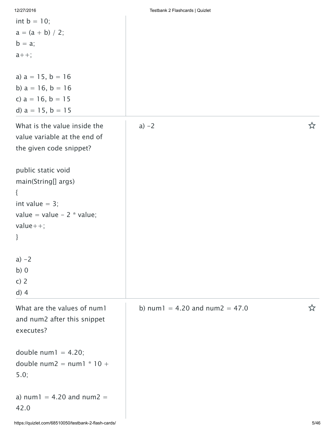|  |  | 12/27/2016 |  |
|--|--|------------|--|
|  |  |            |  |

| int $b = 10$ ;<br>$a = (a + b) / 2;$<br>$b = a$ ;<br>$a_{++}$ ;                                                        |                                      |   |
|------------------------------------------------------------------------------------------------------------------------|--------------------------------------|---|
| a) $a = 15$ , $b = 16$<br>b) $a = 16$ , $b = 16$<br>c) $a = 16$ , $b = 15$<br>d) $a = 15$ , $b = 15$                   |                                      |   |
| What is the value inside the<br>value variable at the end of<br>the given code snippet?                                | $a) -2$                              | ☆ |
| public static void<br>main(String[] args)<br>₹<br>int value $= 3$ ;<br>value = value - $2 *$ value;<br>$value++;$<br>} |                                      |   |
| $a) -2$<br>b)0<br>c) $2$<br>$d)$ 4                                                                                     |                                      |   |
| What are the values of num1<br>and num2 after this snippet<br>executes?                                                | b) num $1 = 4.20$ and num $2 = 47.0$ | ざ |
| double $num1 = 4.20$ ;<br>double num2 = $num1 * 10 +$<br>5.0;                                                          |                                      |   |
| a) $num1 = 4.20$ and $num2 =$<br>42.0                                                                                  |                                      |   |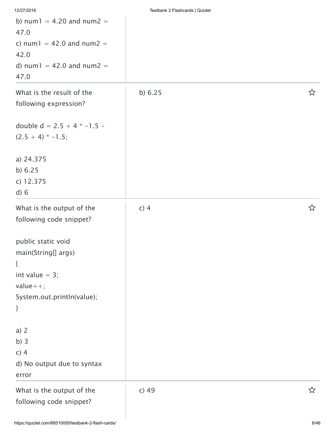| 12/27/2016                                           | Testbank 2 Flashcards   Quizlet |   |
|------------------------------------------------------|---------------------------------|---|
| b) $num1 = 4.20$ and $num2 =$<br>47.0                |                                 |   |
| c) $num1 = 42.0$ and $num2 =$                        |                                 |   |
| 42.0                                                 |                                 |   |
| d) $num1 = 42.0$ and $num2 =$<br>47.0                |                                 |   |
| What is the result of the<br>following expression?   | b) $6.25$                       | ☆ |
| double $d = 2.5 + 4 * -1.5 -$<br>$(2.5 + 4) * -1.5;$ |                                 |   |
| a) 24.375                                            |                                 |   |
| b) $6.25$                                            |                                 |   |
| c) 12.375                                            |                                 |   |
| d) 6                                                 |                                 |   |
| What is the output of the                            | $c)$ 4                          | ☆ |
| following code snippet?                              |                                 |   |
| public static void                                   |                                 |   |
| main(String[] args)                                  |                                 |   |
| $\{$                                                 |                                 |   |
| int value $= 3$ ;                                    |                                 |   |
| $value++;$                                           |                                 |   |
| System.out.println(value);                           |                                 |   |
| }                                                    |                                 |   |
| a) 2                                                 |                                 |   |
| b)3                                                  |                                 |   |
| $c)$ 4                                               |                                 |   |
| d) No output due to syntax                           |                                 |   |
| error                                                |                                 |   |
| What is the output of the                            | $c)$ 49                         | ☆ |
| following code snippet?                              |                                 |   |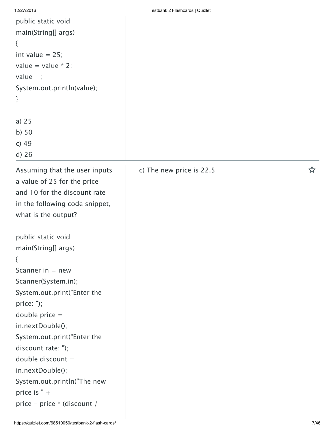| 12/27/2016                     | Testbank 2 Flashcards   Quizlet |   |
|--------------------------------|---------------------------------|---|
| public static void             |                                 |   |
| main(String[] args)            |                                 |   |
| $\{$                           |                                 |   |
| int value $= 25$ ;             |                                 |   |
| value = value $*$ 2;           |                                 |   |
| value $--;$                    |                                 |   |
| System.out.println(value);     |                                 |   |
| }                              |                                 |   |
|                                |                                 |   |
| a) $25$                        |                                 |   |
| $b)$ 50                        |                                 |   |
| $c)$ 49                        |                                 |   |
| $d)$ 26                        |                                 |   |
| Assuming that the user inputs  | c) The new price is 22.5        | ☆ |
| a value of 25 for the price    |                                 |   |
| and 10 for the discount rate   |                                 |   |
| in the following code snippet, |                                 |   |
| what is the output?            |                                 |   |
|                                |                                 |   |
| public static void             |                                 |   |
| main(String[] args)            |                                 |   |
| $\{$                           |                                 |   |
| Scanner in $=$ new             |                                 |   |
| Scanner(System.in);            |                                 |   |
| System.out.print("Enter the    |                                 |   |
| price: ");                     |                                 |   |
| double price $=$               |                                 |   |
| in.nextDouble();               |                                 |   |
| System.out.print("Enter the    |                                 |   |
| discount rate: ");             |                                 |   |
| double discount $=$            |                                 |   |
| in.nextDouble();               |                                 |   |
| System.out.println("The new    |                                 |   |
| price is $" +$                 |                                 |   |
| price - price * (discount /    |                                 |   |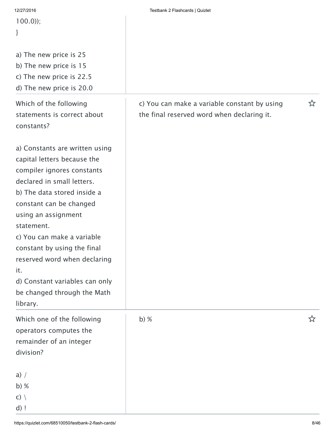| 12/27/2016                     | Testbank 2 Flashcards   Quizlet              |   |
|--------------------------------|----------------------------------------------|---|
| $100.0$ );                     |                                              |   |
| }                              |                                              |   |
|                                |                                              |   |
| a) The new price is 25         |                                              |   |
| b) The new price is 15         |                                              |   |
| c) The new price is 22.5       |                                              |   |
| d) The new price is 20.0       |                                              |   |
| Which of the following         |                                              | ☆ |
| statements is correct about    | c) You can make a variable constant by using |   |
|                                | the final reserved word when declaring it.   |   |
| constants?                     |                                              |   |
| a) Constants are written using |                                              |   |
| capital letters because the    |                                              |   |
| compiler ignores constants     |                                              |   |
| declared in small letters.     |                                              |   |
| b) The data stored inside a    |                                              |   |
|                                |                                              |   |
| constant can be changed        |                                              |   |
| using an assignment            |                                              |   |
| statement.                     |                                              |   |
| c) You can make a variable     |                                              |   |
| constant by using the final    |                                              |   |
| reserved word when declaring   |                                              |   |
| it.                            |                                              |   |
| d) Constant variables can only |                                              |   |
| be changed through the Math    |                                              |   |
| library.                       |                                              |   |
| Which one of the following     | b) $%$                                       | ☆ |
| operators computes the         |                                              |   |
| remainder of an integer        |                                              |   |
| division?                      |                                              |   |
|                                |                                              |   |
| a) $/$                         |                                              |   |
| b) $%$                         |                                              |   |
| $c)$ $\langle$                 |                                              |   |
| $d)$ !                         |                                              |   |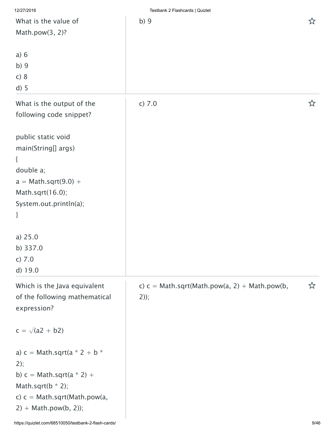| 12/27/2016                                           | Testbank 2 Flashcards   Quizlet                 |      |
|------------------------------------------------------|-------------------------------------------------|------|
| What is the value of                                 | b)9                                             | ☆    |
| Math.pow(3, 2)?                                      |                                                 |      |
|                                                      |                                                 |      |
| a) 6                                                 |                                                 |      |
| b)9                                                  |                                                 |      |
| c) 8                                                 |                                                 |      |
| $d)$ 5                                               |                                                 |      |
|                                                      |                                                 |      |
| What is the output of the                            | c) 7.0                                          | ☆    |
| following code snippet?                              |                                                 |      |
|                                                      |                                                 |      |
| public static void                                   |                                                 |      |
| main(String[] args)                                  |                                                 |      |
| {                                                    |                                                 |      |
| double a;                                            |                                                 |      |
| $a = Math.sqrt(9.0) +$                               |                                                 |      |
| Math.sqrt(16.0);                                     |                                                 |      |
| System.out.println(a);                               |                                                 |      |
| }                                                    |                                                 |      |
|                                                      |                                                 |      |
| a) $25.0$                                            |                                                 |      |
| b) 337.0                                             |                                                 |      |
| c) 7.0                                               |                                                 |      |
| d) 19.0                                              |                                                 |      |
| Which is the Java equivalent                         | c) $c = Math.sqrt(Math.pow(a, 2) + Math.pow(b,$ | ☆    |
| of the following mathematical                        | $2)$ ;                                          |      |
| expression?                                          |                                                 |      |
|                                                      |                                                 |      |
| $c = \sqrt{(a2 + b2)}$                               |                                                 |      |
|                                                      |                                                 |      |
| a) $c = Math.sqrt(a * 2 + b * )$                     |                                                 |      |
| 2);                                                  |                                                 |      |
| b) $c = Math.sqrt(a * 2) +$                          |                                                 |      |
| Math.sqrt( $b * 2$ );                                |                                                 |      |
| c) $c = Math.sqrt(Math.pow(a,$                       |                                                 |      |
| $2) + Math.pow(b, 2);$                               |                                                 |      |
| https://quizlet.com/68510050/testbank-2-flash-cards/ |                                                 | 9/46 |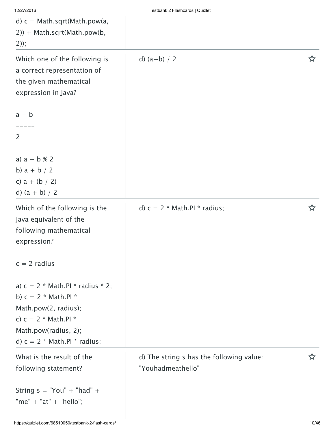| 12/27/2016<br>d) $c = Math.sqrt(Math.pow(a,$<br>$2)$ ) + Math.sqrt(Math.pow(b,<br>$2))$ ;                                                                                | Testbank 2 Flashcards   Quizlet                               |   |
|--------------------------------------------------------------------------------------------------------------------------------------------------------------------------|---------------------------------------------------------------|---|
| Which one of the following is<br>a correct representation of<br>the given mathematical<br>expression in Java?                                                            | d) $(a+b) / 2$                                                | ☆ |
| $a + b$<br>2                                                                                                                                                             |                                                               |   |
| a) $a + b$ % 2<br>b) $a + b / 2$<br>c) $a + (b / 2)$<br>d) $(a + b) / 2$                                                                                                 |                                                               |   |
| Which of the following is the<br>Java equivalent of the<br>following mathematical<br>expression?                                                                         | d) $c = 2$ * Math.PI * radius;                                | ☆ |
| $c = 2$ radius                                                                                                                                                           |                                                               |   |
| a) $c = 2$ * Math.Pl * radius * 2;<br>b) $c = 2$ * Math.Pl *<br>Math.pow(2, radius);<br>c) $c = 2$ * Math.PI *<br>Math.pow(radius, 2);<br>d) $c = 2$ * Math.PI * radius; |                                                               |   |
| What is the result of the<br>following statement?                                                                                                                        | d) The string s has the following value:<br>"Youhadmeathello" | ☆ |
| String $s = "You" + "had" +$<br>"me" + "at" + "hello";                                                                                                                   |                                                               |   |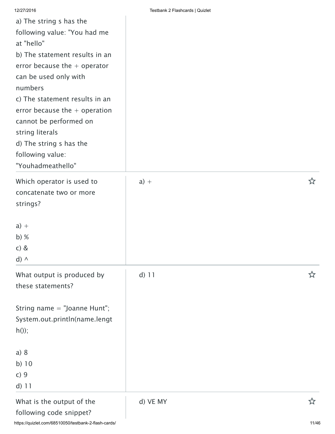| a) The string s has the<br>following value: "You had me<br>at "hello"<br>b) The statement results in an<br>error because the $+$ operator<br>can be used only with<br>numbers<br>c) The statement results in an<br>error because the $+$ operation<br>cannot be performed on<br>string literals<br>d) The string s has the<br>following value:<br>"Youhadmeathello" |          |   |
|---------------------------------------------------------------------------------------------------------------------------------------------------------------------------------------------------------------------------------------------------------------------------------------------------------------------------------------------------------------------|----------|---|
| Which operator is used to<br>concatenate two or more<br>strings?                                                                                                                                                                                                                                                                                                    | $a) +$   | ☆ |
| $a) +$<br>$b)$ %<br>$c)$ &<br>$d) \wedge$                                                                                                                                                                                                                                                                                                                           |          |   |
| What output is produced by<br>these statements?                                                                                                                                                                                                                                                                                                                     | $d)$ 11  | な |
| String name $=$ "Joanne Hunt";<br>System.out.println(name.lengt<br>$h()$ ;                                                                                                                                                                                                                                                                                          |          |   |
| a) 8<br>b) $10$<br>c)9<br>$d)$ 11                                                                                                                                                                                                                                                                                                                                   |          |   |
| What is the output of the<br>following code snippet?                                                                                                                                                                                                                                                                                                                | d) VE MY | ☆ |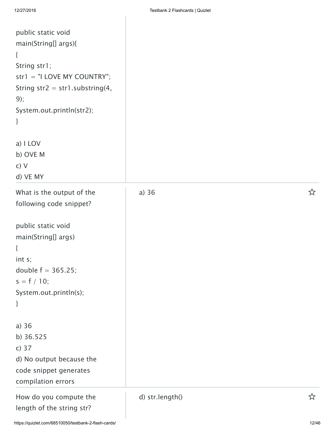| public static void<br>main(String[] args){<br>$\{$<br>String str1;<br>$str1 = "I LOVE MY COUNTRY";$<br>String str2 = str1.substring(4,<br>9);<br>System.out.println(str2);<br>}              |                 |   |
|----------------------------------------------------------------------------------------------------------------------------------------------------------------------------------------------|-----------------|---|
| a) I LOV                                                                                                                                                                                     |                 |   |
| b) OVE M                                                                                                                                                                                     |                 |   |
| c) V<br>d) VE MY                                                                                                                                                                             |                 |   |
| What is the output of the<br>following code snippet?<br>public static void<br>main(String[] args)<br>$\{$<br>int s;<br>double $f = 365.25$ ;<br>$s = f / 10;$<br>System.out.println(s);<br>} | a) $36$         | ☆ |
| a) $36$<br>b) 36.525                                                                                                                                                                         |                 |   |
| c) $37$                                                                                                                                                                                      |                 |   |
| d) No output because the<br>code snippet generates<br>compilation errors                                                                                                                     |                 |   |
| How do you compute the<br>length of the string str?                                                                                                                                          | d) str.length() |   |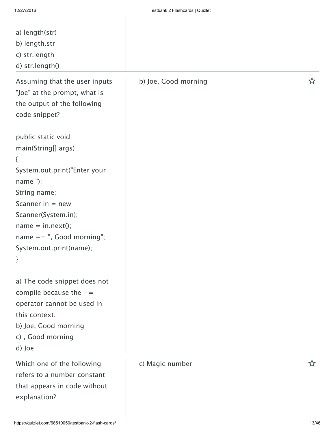$\overline{\phantom{a}}$ 

| a) length(str)<br>b) length.str<br>c) str.length<br>d) str.length()                                                                                                                                                                                 |                      |     |
|-----------------------------------------------------------------------------------------------------------------------------------------------------------------------------------------------------------------------------------------------------|----------------------|-----|
| Assuming that the user inputs<br>"Joe" at the prompt, what is<br>the output of the following<br>code snippet?                                                                                                                                       | b) Joe, Good morning | 5.7 |
| public static void<br>main(String[] args)<br>$\{$<br>System.out.print("Enter your<br>name $"$ );<br>String name;<br>Scanner in $=$ new<br>Scanner(System.in);<br>$name = in.next();$<br>name $+=$ ", Good morning";<br>System.out.print(name);<br>} |                      |     |
| a) The code snippet does not<br>compile because the $+=$<br>operator cannot be used in<br>this context.<br>b) Joe, Good morning<br>c), Good morning<br>d) Joe                                                                                       |                      |     |
| Which one of the following<br>refers to a number constant<br>that appears in code without<br>explanation?                                                                                                                                           | c) Magic number      |     |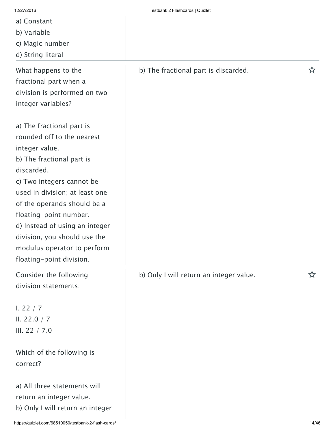- a) Constant
- b) Variable
- c) Magic number
- d) String literal

What happens to the fractional part when a division is performed on two integer variables?

a) The fractional part is rounded off to the nearest integer value. b) The fractional part is

discarded. c) Two integers cannot be

used in division; at least one of the operands should be a floating-point number. d) Instead of using an integer division, you should use the

modulus operator to perform floating-point division. Consider the following

division statements:

I. 22 / 7 II. 22.0 / 7 III. 22 / 7.0

Which of the following is correct?

a) All three statements will return an integer value. b) Only I will return an integer

## b) The fractional part is discarded.  $\hat{X}$

b) Only I will return an integer value.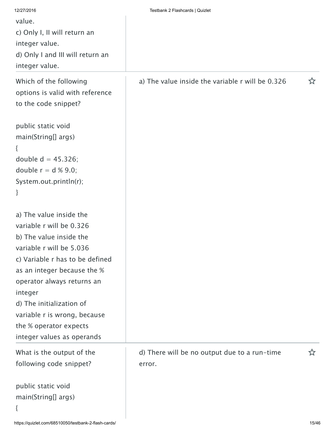| 12/27/2016                       | Testbank 2 Flashcards   Quizlet                  |    |
|----------------------------------|--------------------------------------------------|----|
| value.                           |                                                  |    |
| c) Only I, II will return an     |                                                  |    |
| integer value.                   |                                                  |    |
| d) Only I and III will return an |                                                  |    |
| integer value.                   |                                                  |    |
| Which of the following           | a) The value inside the variable r will be 0.326 | ☆  |
| options is valid with reference  |                                                  |    |
| to the code snippet?             |                                                  |    |
|                                  |                                                  |    |
| public static void               |                                                  |    |
| main(String[] args)              |                                                  |    |
| {                                |                                                  |    |
| double $d = 45.326$ ;            |                                                  |    |
| double $r = d \times 9.0$ ;      |                                                  |    |
| System.out.println(r);           |                                                  |    |
| }                                |                                                  |    |
|                                  |                                                  |    |
| a) The value inside the          |                                                  |    |
| variable r will be 0.326         |                                                  |    |
| b) The value inside the          |                                                  |    |
| variable r will be 5.036         |                                                  |    |
| c) Variable r has to be defined  |                                                  |    |
| as an integer because the %      |                                                  |    |
| operator always returns an       |                                                  |    |
| integer                          |                                                  |    |
| d) The initialization of         |                                                  |    |
| variable r is wrong, because     |                                                  |    |
| the % operator expects           |                                                  |    |
| integer values as operands       |                                                  |    |
| What is the output of the        | d) There will be no output due to a run-time     | ኢን |
| following code snippet?          | error.                                           |    |
|                                  |                                                  |    |
| public static void               |                                                  |    |
| main(String[] args)              |                                                  |    |
| {                                |                                                  |    |
|                                  |                                                  |    |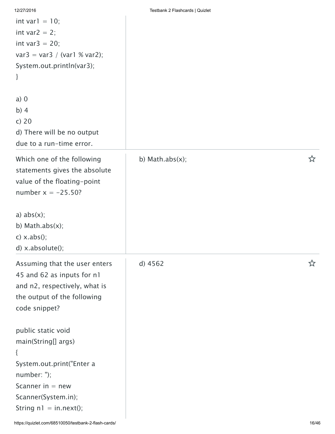|  |  | 12/27/2016 |  |
|--|--|------------|--|

| int var $1 = 10$ ;<br>int var $2 = 2$ ;<br>int var $3 = 20$ ;<br>$var3 = var3 / (var1 % var2);$<br>System.out.println(var3);<br>}                                        |                 |   |
|--------------------------------------------------------------------------------------------------------------------------------------------------------------------------|-----------------|---|
| $a)$ 0<br>$b)$ 4<br>c) $20$<br>d) There will be no output<br>due to a run-time error.                                                                                    |                 |   |
| Which one of the following<br>statements gives the absolute<br>value of the floating-point<br>number $x = -25.50$ ?                                                      | b) Math.abs(x); | ☆ |
| a) $abs(x)$ ;<br>b) Math.abs $(x)$ ;<br>$c)$ x.abs();<br>d) x.absolute();                                                                                                |                 |   |
| Assuming that the user enters<br>45 and 62 as inputs for n1<br>and n2, respectively, what is<br>the output of the following<br>code snippet?                             | ÷.<br>d) 4562   | ☆ |
| public static void<br>main(String[] args)<br>$\{$<br>System.out.print("Enter a<br>$number:$ ");<br>Scanner in $=$ new<br>Scanner(System.in);<br>String $nl = in.next();$ |                 |   |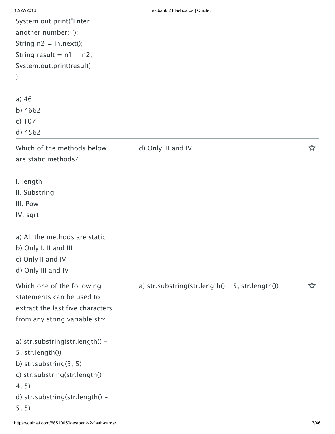| 12/27/2016                                                                                        | Testbank 2 Flashcards   Quizlet                    |   |
|---------------------------------------------------------------------------------------------------|----------------------------------------------------|---|
| System.out.print("Enter                                                                           |                                                    |   |
| another number: ");                                                                               |                                                    |   |
| String $n2 = in.next();$                                                                          |                                                    |   |
| String result = $n1 + n2$ ;                                                                       |                                                    |   |
| System.out.print(result);                                                                         |                                                    |   |
| }                                                                                                 |                                                    |   |
| a) $46$                                                                                           |                                                    |   |
| b) $4662$                                                                                         |                                                    |   |
| c) 107                                                                                            |                                                    |   |
| d) 4562                                                                                           |                                                    |   |
| Which of the methods below<br>are static methods?                                                 | d) Only III and IV                                 | ☆ |
| I. length                                                                                         |                                                    |   |
| II. Substring                                                                                     |                                                    |   |
| III. Pow                                                                                          |                                                    |   |
| IV. sqrt                                                                                          |                                                    |   |
| a) All the methods are static<br>b) Only I, II and III<br>c) Only II and IV<br>d) Only III and IV |                                                    |   |
| Which one of the following                                                                        | a) str.substring(str.length() $-$ 5, str.length()) | ☆ |
| statements can be used to                                                                         |                                                    |   |
| extract the last five characters                                                                  |                                                    |   |
| from any string variable str?                                                                     |                                                    |   |
| a) str.substring(str.length() -                                                                   |                                                    |   |
| 5, str.length())                                                                                  |                                                    |   |
| b) str.substring(5, 5)                                                                            |                                                    |   |
| c) str.substring(str.length() -                                                                   |                                                    |   |
| 4, 5)                                                                                             |                                                    |   |
| d) str.substring(str.length() -                                                                   |                                                    |   |
| 5, 5)                                                                                             |                                                    |   |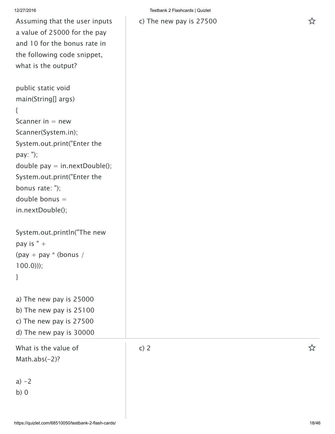Assuming that the user inputs a value of 25000 for the pay and 10 for the bonus rate in the following code snippet, what is the output?

public static void main(String[] args) { Scanner in  $=$  new Scanner(System.in); System.out.print("Enter the pay: "); double pay  $=$  in.nextDouble(); System.out.print("Enter the bonus rate: "); double bonus = in.nextDouble();

```
System.out.println("The new
pay is " +(pay + pay * (bonus /
100.0)));
```
}

a) The new pay is 25000 b) The new pay is 25100

c) The new pay is 27500 d) The new pay is 30000

What is the value of Math.abs $(-2)$ ?

 $a) -2$ 

b) 0

c) The new pay is 27500

c) <sup>2</sup>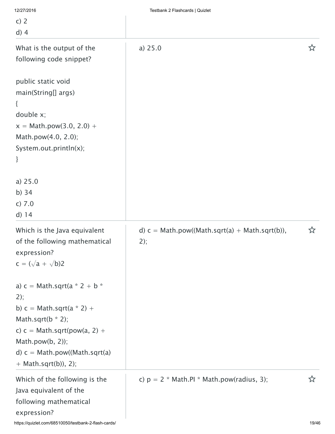| 12/27/2016                                                                                                                                                                                                            | Testbank 2 Flashcards   Quizlet                         |   |
|-----------------------------------------------------------------------------------------------------------------------------------------------------------------------------------------------------------------------|---------------------------------------------------------|---|
| c) $2$                                                                                                                                                                                                                |                                                         |   |
| $d)$ 4                                                                                                                                                                                                                |                                                         |   |
| What is the output of the<br>following code snippet?                                                                                                                                                                  | a) 25.0                                                 | 饮 |
| public static void<br>main(String[] args)<br>$\{$<br>double x;<br>$x = Math.pow(3.0, 2.0) +$<br>Math.pow(4.0, 2.0);<br>System.out.println(x);<br>}                                                                    |                                                         |   |
| a) 25.0<br>b) $34$<br>c) 7.0<br>$d)$ 14                                                                                                                                                                               |                                                         |   |
| Which is the Java equivalent<br>of the following mathematical<br>expression?<br>$c = (\sqrt{a} + \sqrt{b})2$                                                                                                          | d) $c = Math.pow((Math.sqrt(a) + Math.sqrt(b)),$<br>2); | ☆ |
| a) $c = Math.sqrt(a * 2 + b * )$<br>2);<br>b) $c = Math.sqrt(a * 2) +$<br>Math.sqrt( $b * 2$ );<br>c) $c = Math.sqrt(pow(a, 2) +$<br>Math.pow $(b, 2)$ ;<br>d) $c = Math.pow((Math.sqrt(a)$<br>$+ Math.sqrt(b)), 2);$ |                                                         |   |
| Which of the following is the<br>Java equivalent of the<br>following mathematical<br>expression?                                                                                                                      | c) $p = 2$ * Math.PI * Math.pow(radius, 3);             | ☆ |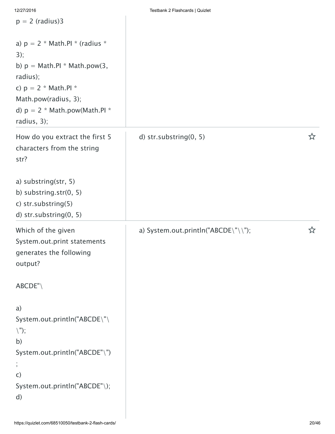| $p = 2$ (radius)3                                                                                                                                                                         |                                     |   |
|-------------------------------------------------------------------------------------------------------------------------------------------------------------------------------------------|-------------------------------------|---|
| a) $p = 2$ * Math.Pl * (radius *<br>3);<br>b) $p = Math.PI * Math.pow(3,$<br>radius);<br>c) $p = 2 * Math.PI *$<br>Math.pow(radius, 3);<br>d) $p = 2$ * Math.pow(Math.PI *<br>radius, 3); |                                     |   |
| How do you extract the first 5<br>characters from the string<br>str?                                                                                                                      | d) str.substring(0, 5)              | ☆ |
| a) substring(str, 5)<br>b) substring.str(0, 5)<br>c) str.substring(5)<br>d) str.substring(0, 5)                                                                                           |                                     |   |
| Which of the given<br>System.out.print statements<br>generates the following<br>output?                                                                                                   | a) System.out.println("ABCDE\"\\"); | ☆ |
| ABCDE''                                                                                                                                                                                   |                                     |   |
| a)<br>System.out.println("ABCDE\"\<br>$\langle$ ");<br>b)<br>System.out.println("ABCDE"\")<br>$\pmb{\jmath}$<br>$\mathsf{C}$<br>System.out.println("ABCDE"\);                             |                                     |   |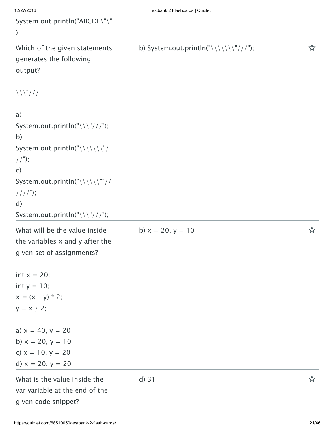| 12/27/2016                                                                                                                                                                     | Testbank 2 Flashcards   Quizlet      |   |
|--------------------------------------------------------------------------------------------------------------------------------------------------------------------------------|--------------------------------------|---|
| System.out.println("ABCDE\"\"                                                                                                                                                  |                                      |   |
| $)$                                                                                                                                                                            |                                      |   |
| Which of the given statements<br>generates the following<br>output?                                                                                                            | b) System.out.println("\\\\\\\"//"); | ☆ |
| $\left\langle \left\langle \left\langle \left\langle \left\langle \cdot \right\rangle \right\rangle \right\rangle ^{n}\right\rangle /\left\langle \right\rangle \right\rangle$ |                                      |   |
| a)                                                                                                                                                                             |                                      |   |
| System.out.println("\\\"//");<br>b)                                                                                                                                            |                                      |   |
| System.out.println("\\\\\\\"/<br>$//$ ");                                                                                                                                      |                                      |   |
| $\mathsf{C}$<br>System.out.println("\\\\\\""//<br>$//$ / $'$ );                                                                                                                |                                      |   |
| $\mathsf{d}$<br>System.out.println("\\\"///");                                                                                                                                 |                                      |   |
| What will be the value inside<br>the variables $x$ and $y$ after the<br>given set of assignments?                                                                              | b) $x = 20, y = 10$                  | ☆ |
| int $x = 20$ ;<br>int $y = 10$ ;<br>$x = (x - y) * 2;$<br>$y = x / 2;$                                                                                                         |                                      |   |
| a) $x = 40$ , $y = 20$<br>b) $x = 20, y = 10$<br>c) $x = 10, y = 20$<br>d) $x = 20, y = 20$                                                                                    |                                      |   |
| What is the value inside the<br>var variable at the end of the<br>given code snippet?                                                                                          | $d)$ 31                              | ☆ |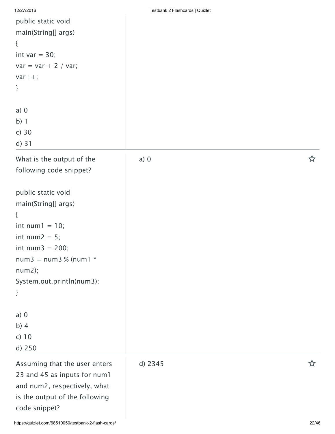| 12/27/2016 | Testbank 2 Flashcards   Quizlet |  |
|------------|---------------------------------|--|

| public static void<br>main(String[] args)<br>{<br>int var $=$ 30;<br>$var = var + 2 / var;$<br>$var++;$<br>}<br>$a)$ 0 |         |   |
|------------------------------------------------------------------------------------------------------------------------|---------|---|
| b) 1                                                                                                                   |         |   |
| $c)$ 30                                                                                                                |         |   |
| d) 31                                                                                                                  |         |   |
| What is the output of the<br>following code snippet?                                                                   | $a)$ 0  | ☆ |
| public static void                                                                                                     |         |   |
| main(String[] args)                                                                                                    |         |   |
| {<br>int num $1 = 10$ ;                                                                                                |         |   |
| int num $2 = 5$ ;                                                                                                      |         |   |
| int num $3 = 200$ ;                                                                                                    |         |   |
| $num3 = num3 % (num1 * )$<br>num2);                                                                                    |         |   |
| System.out.println(num3);                                                                                              |         |   |
| }                                                                                                                      |         |   |
| $a)$ 0                                                                                                                 |         |   |
| b) $4$                                                                                                                 |         |   |
| $c)$ 10<br>d) 250                                                                                                      |         |   |
|                                                                                                                        |         |   |
| Assuming that the user enters<br>23 and 45 as inputs for num1                                                          | d) 2345 | ☆ |
| and num2, respectively, what                                                                                           |         |   |
| is the output of the following                                                                                         |         |   |
| code snippet?                                                                                                          |         |   |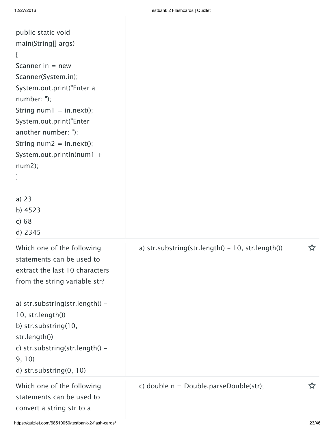| public static void              |                                                      |   |
|---------------------------------|------------------------------------------------------|---|
| main(String[] args)             |                                                      |   |
| $\{$                            |                                                      |   |
| Scanner in $=$ new              |                                                      |   |
| Scanner(System.in);             |                                                      |   |
| System.out.print("Enter a       |                                                      |   |
| $number:$ ");                   |                                                      |   |
| String $num1 = in.next();$      |                                                      |   |
| System.out.print("Enter         |                                                      |   |
| another number: ");             |                                                      |   |
| String $num2 = in.next();$      |                                                      |   |
| System.out.println(num1 +       |                                                      |   |
| num2);                          |                                                      |   |
| }                               |                                                      |   |
|                                 |                                                      |   |
| a) $23$                         |                                                      |   |
| b) 4523                         |                                                      |   |
| c) 68                           |                                                      |   |
| d) 2345                         |                                                      |   |
| Which one of the following      | a) str.substring(str.length() - $10$ , str.length()) | ☆ |
| statements can be used to       |                                                      |   |
| extract the last 10 characters  |                                                      |   |
| from the string variable str?   |                                                      |   |
|                                 |                                                      |   |
| a) str.substring(str.length() - |                                                      |   |
| 10, str.length())               |                                                      |   |
| b) str.substring(10,            |                                                      |   |
| str.length())                   |                                                      |   |
| c) str.substring(str.length() - |                                                      |   |
| 9, 10)                          |                                                      |   |
| d) str.substring(0, 10)         |                                                      |   |
| Which one of the following      | c) double $n = Double.parseDouble(str)$ ;            |   |
| statements can be used to       |                                                      |   |
|                                 |                                                      |   |
| convert a string str to a       |                                                      |   |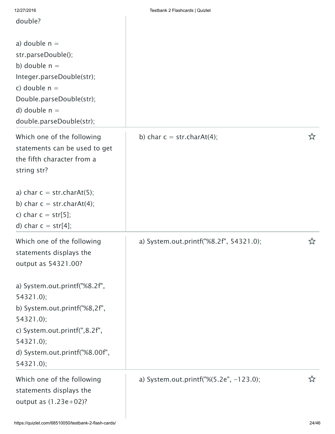| 12/27/2010<br>double?                                                                                                                                                               | <b>ICOLUGHIN Z I IGOHCATUS   QUIZICI</b> |    |
|-------------------------------------------------------------------------------------------------------------------------------------------------------------------------------------|------------------------------------------|----|
| a) double $n =$<br>str.parseDouble();<br>b) double $n =$<br>Integer.parseDouble(str);<br>c) double $n =$<br>Double.parseDouble(str);<br>d) double $n =$<br>double.parseDouble(str); |                                          |    |
| Which one of the following<br>statements can be used to get<br>the fifth character from a<br>string str?<br>a) char $c = str.charAt(5)$ ;                                           | b) char $c = str.charAt(4)$ ;            | ☆  |
| b) char $c = str.charAt(4)$ ;<br>c) char $c = str[5]$ ;<br>d) char $c = str[4]$ ;                                                                                                   |                                          |    |
| Which one of the following<br>statements displays the<br>output as 54321.00?                                                                                                        | a) System.out.printf("%8.2f", 54321.0);  | ☆  |
| a) System.out.printf("%8.2f",<br>$54321.0$ ;                                                                                                                                        |                                          |    |
| b) System.out.printf("%8,2f",<br>$54321.0$ ;                                                                                                                                        |                                          |    |
| c) System.out.printf(",8.2f",<br>$54321.0$ ;                                                                                                                                        |                                          |    |
| d) System.out.printf("%8.00f",<br>$54321.0$ ;                                                                                                                                       |                                          |    |
| Which one of the following<br>statements displays the<br>output as $(1.23e+02)?$                                                                                                    | a) System.out.printf("%(5.2e", -123.0);  | ኢን |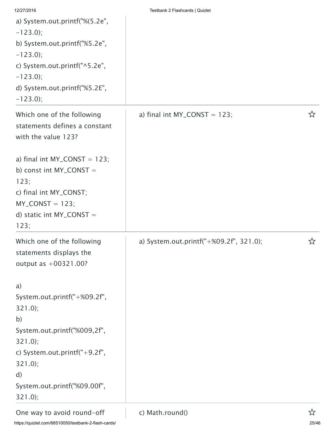| 12/27/2016                        | Testbank 2 Flashcards   Quizlet         |   |
|-----------------------------------|-----------------------------------------|---|
| a) System.out.printf("%(5.2e",    |                                         |   |
| $-123.0$ ;                        |                                         |   |
| b) System.out.printf("%5.2e",     |                                         |   |
| $-123.0$ ;                        |                                         |   |
| c) System.out.printf("^5.2e",     |                                         |   |
| $-123.0$ ;                        |                                         |   |
| d) System.out.printf("%5.2E",     |                                         |   |
| $-123.0$ ;                        |                                         |   |
| Which one of the following        | a) final int $MY\_CONST = 123$ ;        | ☆ |
| statements defines a constant     |                                         |   |
| with the value 123?               |                                         |   |
| a) final int $MY\_CONST = 123$ ;  |                                         |   |
| b) const int MY_CONST =           |                                         |   |
| 123;                              |                                         |   |
| c) final int MY_CONST;            |                                         |   |
| $MY\_CONST = 123;$                |                                         |   |
| d) static int $MY\_CONST =$       |                                         |   |
| 123:                              |                                         |   |
| Which one of the following        | a) System.out.printf("+%09.2f", 321.0); | ☆ |
| statements displays the           |                                         |   |
| output as $+00321.00?$            |                                         |   |
| a)                                |                                         |   |
| System.out.printf("+%09.2f",      |                                         |   |
| $321.0$ ;                         |                                         |   |
| b)                                |                                         |   |
| System.out.printf("%009,2f",      |                                         |   |
| $321.0$ ;                         |                                         |   |
| c) System.out.printf(" $+9.2$ f", |                                         |   |
| $321.0$ ;                         |                                         |   |
| $\mathsf{d}$                      |                                         |   |
| System.out.printf("%09.00f",      |                                         |   |
| 321.0;                            |                                         |   |
| One way to avoid round-off        | c) Math.round()                         | ☆ |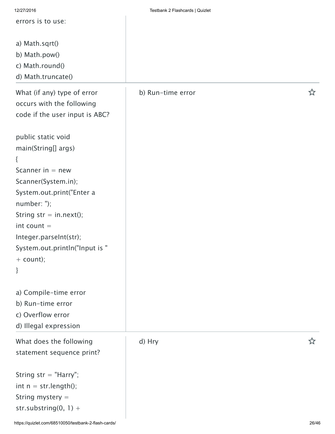| 12/27/2016                     | Testbank 2 Flashcards   Quizlet |   |
|--------------------------------|---------------------------------|---|
| errors is to use:              |                                 |   |
|                                |                                 |   |
| a) Math.sqrt()                 |                                 |   |
| b) Math.pow()                  |                                 |   |
| c) Math.round()                |                                 |   |
| d) Math.truncate()             |                                 |   |
|                                |                                 |   |
| What (if any) type of error    | b) Run-time error               |   |
| occurs with the following      |                                 |   |
| code if the user input is ABC? |                                 |   |
|                                |                                 |   |
| public static void             |                                 |   |
| main(String[] args)            |                                 |   |
| {                              |                                 |   |
| Scanner in $=$ new             |                                 |   |
| Scanner(System.in);            |                                 |   |
|                                |                                 |   |
| System.out.print("Enter a      |                                 |   |
| number: ");                    |                                 |   |
| String $str = in.next();$      |                                 |   |
| $int count =$                  |                                 |   |
| Integer.parseInt(str);         |                                 |   |
| System.out.println("Input is " |                                 |   |
| $+$ count);                    |                                 |   |
| }                              |                                 |   |
|                                |                                 |   |
| a) Compile-time error          |                                 |   |
| b) Run-time error              |                                 |   |
| c) Overflow error              |                                 |   |
| d) Illegal expression          |                                 |   |
| What does the following        | d) Hry                          | ☆ |
|                                |                                 |   |
| statement sequence print?      |                                 |   |
|                                |                                 |   |
| String $str = "Harry";$        |                                 |   |
| int $n = str.length()$ ;       |                                 |   |
| String mystery $=$             |                                 |   |
| str.substring $(0, 1) +$       |                                 |   |
|                                |                                 |   |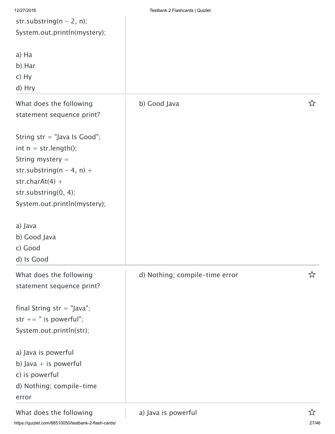| 12/27/2016                       | Testbank 2 Flashcards   Quizlet |   |
|----------------------------------|---------------------------------|---|
| str.substring( $n - 2$ , n);     |                                 |   |
| System.out.println(mystery);     |                                 |   |
| a) Ha                            |                                 |   |
| b) Har                           |                                 |   |
| $c)$ Hy                          |                                 |   |
| d) Hry                           |                                 |   |
| What does the following          | b) Good Java                    | ☆ |
| statement sequence print?        |                                 |   |
| String $str = "Java Is Good";$   |                                 |   |
| int $n = str.length()$ ;         |                                 |   |
| String mystery $=$               |                                 |   |
| str.substring( $n - 4$ , $n$ ) + |                                 |   |
| str.char $At(4) +$               |                                 |   |
| str.substring(0, 4);             |                                 |   |
| System.out.println(mystery);     |                                 |   |
| a) Java                          |                                 |   |
| b) Good Java                     |                                 |   |
| c) Good                          |                                 |   |
| d) Is Good                       |                                 |   |
| What does the following          | d) Nothing; compile-time error  | ☆ |
| statement sequence print?        |                                 |   |
| final String $str = "Java";$     |                                 |   |
| str $+=$ " is powerful";         |                                 |   |
| System.out.println(str);         |                                 |   |
| a) Java is powerful              |                                 |   |
| b) Java $+$ is powerful          |                                 |   |
| c) is powerful                   |                                 |   |
| d) Nothing; compile-time         |                                 |   |
| error                            |                                 |   |
| What does the following          | a) Java is powerful             | ☆ |

https://quizlet.com/68510050/testbank-2-flash-cards/ 27/46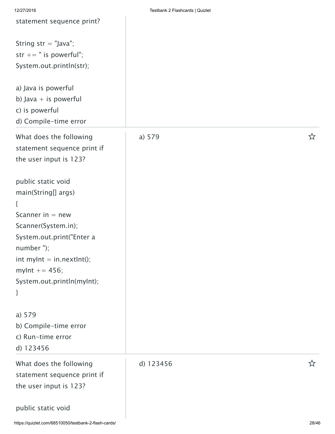| 12/27/2016                                                                                                                                                                                                                 | Testbank 2 Flashcards   Quizlet |   |
|----------------------------------------------------------------------------------------------------------------------------------------------------------------------------------------------------------------------------|---------------------------------|---|
| statement sequence print?                                                                                                                                                                                                  |                                 |   |
| String $str = "Java";$<br>str += $"$ is powerful";<br>System.out.println(str);                                                                                                                                             |                                 |   |
| a) Java is powerful<br>b) Java $+$ is powerful<br>c) is powerful<br>d) Compile-time error                                                                                                                                  |                                 |   |
| What does the following<br>statement sequence print if<br>the user input is 123?                                                                                                                                           | a) 579                          | ☆ |
| public static void<br>main(String[] args)<br>{<br>Scanner in $=$ new<br>Scanner(System.in);<br>System.out.print("Enter a<br>number");<br>int mylnt $=$ in.nextlnt();<br>mylnt $+= 456;$<br>System.out.println(myInt);<br>} |                                 |   |
| a) 579<br>b) Compile-time error<br>c) Run-time error<br>d) 123456                                                                                                                                                          |                                 |   |
| What does the following<br>statement sequence print if<br>the user input is 123?                                                                                                                                           | d) 123456                       | ☆ |
| public static void                                                                                                                                                                                                         |                                 |   |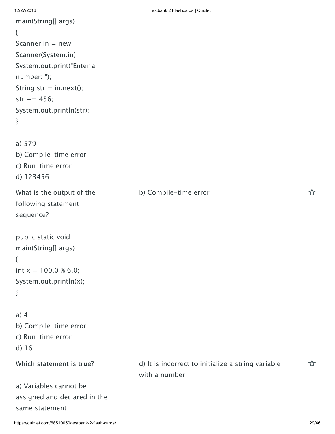| 12/27/2016                     | Testbank 2 Flashcards   Quizlet                    |   |
|--------------------------------|----------------------------------------------------|---|
| main(String[] args)            |                                                    |   |
| ₹                              |                                                    |   |
| Scanner in $=$ new             |                                                    |   |
| Scanner(System.in);            |                                                    |   |
| System.out.print("Enter a      |                                                    |   |
| number: ");                    |                                                    |   |
| String $str = in.next();$      |                                                    |   |
| $str += 456;$                  |                                                    |   |
| System.out.println(str);       |                                                    |   |
| }                              |                                                    |   |
|                                |                                                    |   |
| a) 579                         |                                                    |   |
| b) Compile-time error          |                                                    |   |
| c) Run-time error<br>d) 123456 |                                                    |   |
|                                |                                                    |   |
| What is the output of the      | b) Compile-time error                              | ☆ |
| following statement            |                                                    |   |
| sequence?                      |                                                    |   |
| public static void             |                                                    |   |
| main(String[] args)            |                                                    |   |
| ₹                              |                                                    |   |
| int $x = 100.0 % 6.0;$         |                                                    |   |
| System.out.println(x);         |                                                    |   |
| ł                              |                                                    |   |
|                                |                                                    |   |
| $a)$ 4                         |                                                    |   |
| b) Compile-time error          |                                                    |   |
| c) Run-time error              |                                                    |   |
| d) 16                          |                                                    |   |
| Which statement is true?       | d) It is incorrect to initialize a string variable | ☆ |
|                                | with a number                                      |   |
| a) Variables cannot be         |                                                    |   |
| assigned and declared in the   |                                                    |   |
| same statement                 |                                                    |   |
|                                |                                                    |   |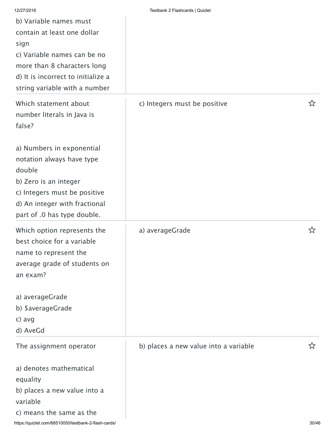| 12/27/2016<br>b) Variable names must<br>contain at least one dollar<br>sign<br>c) Variable names can be no<br>more than 8 characters long<br>d) It is incorrect to initialize a<br>string variable with a number | Testbank 2 Flashcards   Quizlet       |    |
|------------------------------------------------------------------------------------------------------------------------------------------------------------------------------------------------------------------|---------------------------------------|----|
| Which statement about<br>number literals in Java is<br>false?                                                                                                                                                    | c) Integers must be positive          | ኢን |
| a) Numbers in exponential<br>notation always have type<br>double<br>b) Zero is an integer<br>c) Integers must be positive<br>d) An integer with fractional<br>part of .0 has type double.                        |                                       |    |
| Which option represents the<br>best choice for a variable<br>name to represent the<br>average grade of students on<br>an exam?                                                                                   | a) averageGrade                       | ☆  |
| a) averageGrade<br>b) \$averageGrade<br>c) avg<br>d) AveGd                                                                                                                                                       |                                       |    |
| The assignment operator                                                                                                                                                                                          | b) places a new value into a variable | ☆  |
| a) denotes mathematical<br>equality<br>b) places a new value into a<br>variable<br>c) means the same as the                                                                                                      |                                       |    |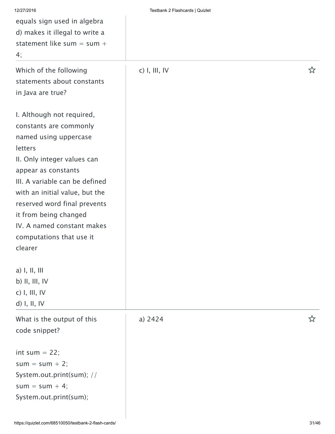| 12/27/2016                     | Testbank 2 Flashcards   Quizlet |   |
|--------------------------------|---------------------------------|---|
| equals sign used in algebra    |                                 |   |
| d) makes it illegal to write a |                                 |   |
| statement like sum = sum +     |                                 |   |
| 4;                             |                                 |   |
| Which of the following         | $c)$ I, III, IV                 | ☆ |
| statements about constants     |                                 |   |
| in Java are true?              |                                 |   |
| I. Although not required,      |                                 |   |
| constants are commonly         |                                 |   |
| named using uppercase          |                                 |   |
| letters                        |                                 |   |
| II. Only integer values can    |                                 |   |
| appear as constants            |                                 |   |
| III. A variable can be defined |                                 |   |
| with an initial value, but the |                                 |   |
| reserved word final prevents   |                                 |   |
| it from being changed          |                                 |   |
| IV. A named constant makes     |                                 |   |
| computations that use it       |                                 |   |
| clearer                        |                                 |   |
| a) I, II, III                  |                                 |   |
| b) II, III, IV                 |                                 |   |
| $c)$ I, III, IV                |                                 |   |
| d) I, II, IV                   |                                 |   |
| What is the output of this     | a) 2424                         |   |
| code snippet?                  |                                 |   |
|                                |                                 |   |
| int sum $= 22$ ;               |                                 |   |
| $sum = sum + 2;$               |                                 |   |
| System.out.print(sum); //      |                                 |   |
| $sum = sum + 4;$               |                                 |   |
| System.out.print(sum);         |                                 |   |
|                                |                                 |   |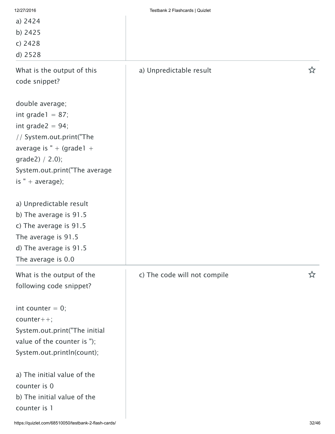| 12/27/2016<br>a) 2424<br>b) 2425<br>c) 2428<br>d) 2528                                                                                                                                               | Testbank 2 Flashcards   Quizlet |   |
|------------------------------------------------------------------------------------------------------------------------------------------------------------------------------------------------------|---------------------------------|---|
| What is the output of this<br>code snippet?                                                                                                                                                          | a) Unpredictable result         | ☆ |
| double average;<br>int grade $1 = 87$ ;<br>int grade $2 = 94$ ;<br>// System.out.print("The<br>average is " + (grade $1 +$<br>grade2) $/ 2.0$ ;<br>System.out.print("The average<br>is " + average); |                                 |   |
| a) Unpredictable result<br>b) The average is 91.5<br>c) The average is 91.5<br>The average is 91.5<br>d) The average is 91.5<br>The average is 0.0                                                   |                                 |   |
| What is the output of the<br>following code snippet?                                                                                                                                                 | c) The code will not compile    | な |
| int counter $= 0$ ;<br>$counter++;$<br>System.out.print("The initial<br>value of the counter is ");<br>System.out.println(count);                                                                    |                                 |   |
| a) The initial value of the<br>counter is 0<br>b) The initial value of the<br>counter is 1                                                                                                           |                                 |   |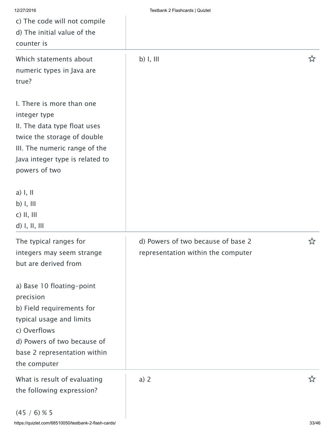| Testbank 2 Flashcards   Quizlet                                          |   |
|--------------------------------------------------------------------------|---|
| $b)$ I, III                                                              | ☆ |
|                                                                          |   |
|                                                                          |   |
| d) Powers of two because of base 2<br>representation within the computer | ☆ |
|                                                                          |   |
| $a)$ 2                                                                   | ☆ |
|                                                                          |   |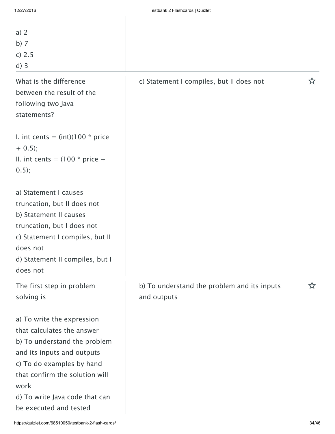| a) $2$<br>b) $7$<br>c) 2.5<br>$d)$ 3                                                                                                                                                                                                                      |                                                            |   |
|-----------------------------------------------------------------------------------------------------------------------------------------------------------------------------------------------------------------------------------------------------------|------------------------------------------------------------|---|
| What is the difference<br>between the result of the<br>following two Java<br>statements?                                                                                                                                                                  | c) Statement I compiles, but II does not                   | ☆ |
| I. int cents = $(int)(100 * price$<br>$+ 0.5$ ;<br>II. int cents = $(100 * price +$<br>0.5);                                                                                                                                                              |                                                            |   |
| a) Statement I causes<br>truncation, but II does not<br>b) Statement II causes<br>truncation, but I does not<br>c) Statement I compiles, but II<br>does not<br>d) Statement II compiles, but I<br>does not                                                |                                                            |   |
| The first step in problem<br>solving is                                                                                                                                                                                                                   | b) To understand the problem and its inputs<br>and outputs | ☆ |
| a) To write the expression<br>that calculates the answer<br>b) To understand the problem<br>and its inputs and outputs<br>c) To do examples by hand<br>that confirm the solution will<br>work<br>d) To write Java code that can<br>be executed and tested |                                                            |   |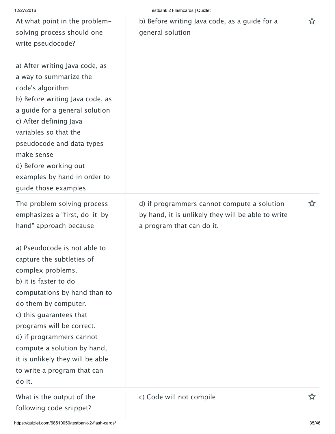| 12/27/2016 | Testbank 2 Flashcards   Quizlet |  |
|------------|---------------------------------|--|
|            |                                 |  |

b) Before writing Java code, as a guide for a  $\hat{X}$ general solution

| d) Before working out<br>examples by hand in order to<br>guide those examples           |                                                                                                                                |   |
|-----------------------------------------------------------------------------------------|--------------------------------------------------------------------------------------------------------------------------------|---|
| The problem solving process<br>emphasizes a "first, do-it-by-<br>hand" approach because | d) if programmers cannot compute a solution<br>by hand, it is unlikely they will be able to write<br>a program that can do it. | ☆ |
| a) Pseudocode is not able to                                                            |                                                                                                                                |   |
| capture the subtleties of                                                               |                                                                                                                                |   |
| complex problems.                                                                       |                                                                                                                                |   |
| b) it is faster to do                                                                   |                                                                                                                                |   |
| computations by hand than to                                                            |                                                                                                                                |   |
| do them by computer.                                                                    |                                                                                                                                |   |
| c) this guarantees that                                                                 |                                                                                                                                |   |
| programs will be correct.                                                               |                                                                                                                                |   |
| d) if programmers cannot                                                                |                                                                                                                                |   |
| compute a solution by hand,                                                             |                                                                                                                                |   |
| it is unlikely they will be able                                                        |                                                                                                                                |   |
| to write a program that can                                                             |                                                                                                                                |   |
| do it.                                                                                  |                                                                                                                                |   |
| What is the output of the<br>following code snippet?                                    | c) Code will not compile                                                                                                       | ☆ |

At what point in the problem-

solving process should one

a) After writing Java code, as

b) Before writing Java code, as a guide for a general solution

pseudocode and data types

a way to summarize the

write pseudocode?

code's algorithm

c) After defining Java

variables so that the

make sense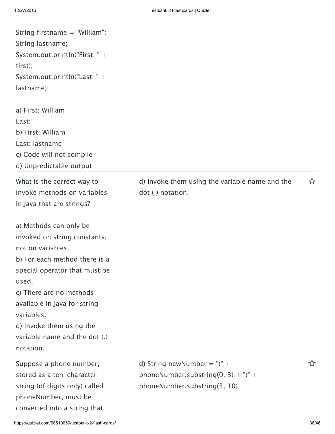| String firstname $=$ "William";<br>String lastname;<br>System.out.println("First: " +<br>first);<br>System.out.println("Last: " +<br>lastname);                                                                                                                                                                                                                                                     |                                                                                                         |   |
|-----------------------------------------------------------------------------------------------------------------------------------------------------------------------------------------------------------------------------------------------------------------------------------------------------------------------------------------------------------------------------------------------------|---------------------------------------------------------------------------------------------------------|---|
| a) First: William<br>Last:<br>b) First: William<br>Last: lastname<br>c) Code will not compile<br>d) Unpredictable output                                                                                                                                                                                                                                                                            |                                                                                                         |   |
| What is the correct way to<br>invoke methods on variables<br>in Java that are strings?<br>a) Methods can only be<br>invoked on string constants,<br>not on variables.<br>b) For each method there is a<br>special operator that must be<br>used.<br>c) There are no methods<br>available in Java for string<br>variables.<br>d) Invoke them using the<br>variable name and the dot (.)<br>notation. | d) Invoke them using the variable name and the<br>dot (.) notation.                                     | ☆ |
| Suppose a phone number,<br>stored as a ten-character<br>string (of digits only) called<br>phoneNumber, must be<br>converted into a string that                                                                                                                                                                                                                                                      | d) String newNumber = " $($ " +<br>phoneNumber.substring(0, 3) + ")" +<br>phoneNumber.substring(3, 10); | ☆ |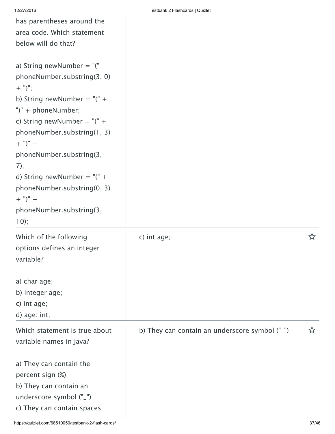has parentheses around the area code. Which statement

| 12/27/2016 | Testbank 2 Flashcards   Quizlet |
|------------|---------------------------------|
|            |                                 |

| below will do that?                                                                                                                                                                                                                                                                                                                                                       |                                                |   |
|---------------------------------------------------------------------------------------------------------------------------------------------------------------------------------------------------------------------------------------------------------------------------------------------------------------------------------------------------------------------------|------------------------------------------------|---|
| a) String newNumber = " $($ " +<br>phoneNumber.substring(3, 0)<br>$(+$ ")";<br>b) String newNumber = " $($ " +<br>")" + phoneNumber;<br>c) String newNumber = " $($ " +<br>phoneNumber.substring(1, 3)<br>$+$ ")" +<br>phoneNumber.substring(3,<br>7);<br>d) String newNumber = " $($ " +<br>phoneNumber.substring(0, 3)<br>$+$ ")" +<br>phoneNumber.substring(3,<br>10); |                                                |   |
| Which of the following<br>options defines an integer<br>variable?                                                                                                                                                                                                                                                                                                         | c) int age;                                    | ☆ |
| a) char age;<br>b) integer age;<br>c) int age;<br>d) age: int;                                                                                                                                                                                                                                                                                                            |                                                |   |
| Which statement is true about<br>variable names in Java?                                                                                                                                                                                                                                                                                                                  | b) They can contain an underscore symbol ("_") | ☆ |
| a) They can contain the<br>percent sign (%)<br>b) They can contain an<br>underscore symbol ("_")<br>c) They can contain spaces                                                                                                                                                                                                                                            |                                                |   |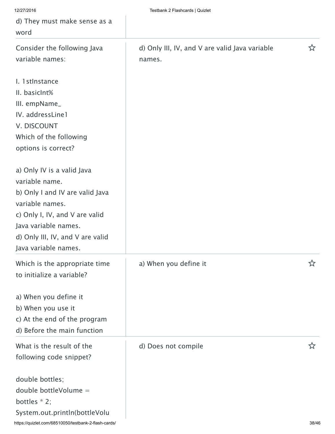| 12/27/2016                                           | Testbank 2 Flashcards   Quizlet                |       |  |
|------------------------------------------------------|------------------------------------------------|-------|--|
| d) They must make sense as a                         |                                                |       |  |
| word                                                 |                                                |       |  |
| Consider the following Java                          | d) Only III, IV, and V are valid Java variable | ☆     |  |
| variable names:                                      | names.                                         |       |  |
| I. 1 stinstance                                      |                                                |       |  |
| II. basicInt%                                        |                                                |       |  |
| III. empName_                                        |                                                |       |  |
| IV. addressLine1                                     |                                                |       |  |
| V. DISCOUNT                                          |                                                |       |  |
| Which of the following                               |                                                |       |  |
| options is correct?                                  |                                                |       |  |
| a) Only IV is a valid Java                           |                                                |       |  |
| variable name.                                       |                                                |       |  |
| b) Only I and IV are valid Java                      |                                                |       |  |
| variable names.                                      |                                                |       |  |
| c) Only I, IV, and V are valid                       |                                                |       |  |
| Java variable names.                                 |                                                |       |  |
| d) Only III, IV, and V are valid                     |                                                |       |  |
| Java variable names.                                 |                                                |       |  |
| Which is the appropriate time                        | a) When you define it                          |       |  |
| to initialize a variable?                            |                                                |       |  |
| a) When you define it                                |                                                |       |  |
| b) When you use it                                   |                                                |       |  |
| c) At the end of the program                         |                                                |       |  |
| d) Before the main function                          |                                                |       |  |
| What is the result of the                            | d) Does not compile                            | ኢን    |  |
| following code snippet?                              |                                                |       |  |
| double bottles;                                      |                                                |       |  |
| double bottleVolume =                                |                                                |       |  |
| bottles $* 2;$                                       |                                                |       |  |
| System.out.println(bottleVolu                        |                                                |       |  |
| https://quizlet.com/68510050/testbank-2-flash-cards/ |                                                | 38/46 |  |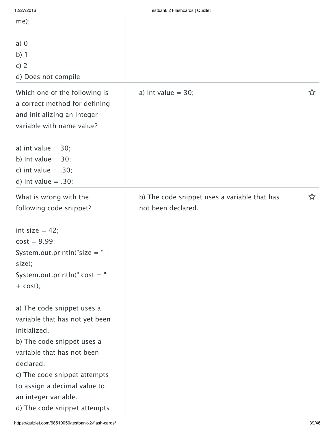| 12/27/2016                                                                                                                                                                                                                                                                    | Testbank 2 Flashcards   Quizlet                                    |   |
|-------------------------------------------------------------------------------------------------------------------------------------------------------------------------------------------------------------------------------------------------------------------------------|--------------------------------------------------------------------|---|
| $me$ ;                                                                                                                                                                                                                                                                        |                                                                    |   |
| $a)$ 0<br>$b)$ 1<br>c) $2$<br>d) Does not compile                                                                                                                                                                                                                             |                                                                    |   |
| Which one of the following is<br>a correct method for defining<br>and initializing an integer<br>variable with name value?<br>a) int value $=$ 30;                                                                                                                            | a) int value $=$ 30;                                               | ☆ |
| b) Int value $=$ 30;<br>c) int value $= .30$ ;<br>d) Int value $= .30;$                                                                                                                                                                                                       |                                                                    |   |
| What is wrong with the<br>following code snippet?                                                                                                                                                                                                                             | b) The code snippet uses a variable that has<br>not been declared. | ☆ |
| int size $= 42$ ;<br>$cost = 9.99;$<br>System.out.println("size $=$ " +<br>size);<br>System.out.println(" $cost = "$<br>$+$ cost);                                                                                                                                            |                                                                    |   |
| a) The code snippet uses a<br>variable that has not yet been<br>initialized.<br>b) The code snippet uses a<br>variable that has not been<br>declared.<br>c) The code snippet attempts<br>to assign a decimal value to<br>an integer variable.<br>d) The code snippet attempts |                                                                    |   |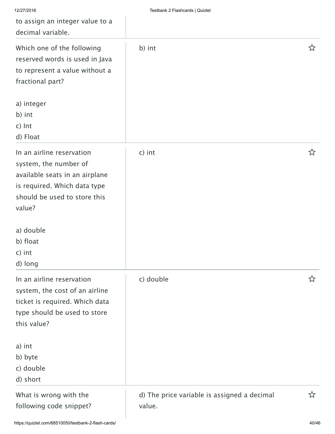| 12/27/2016                                                                                                                                                     | Testbank 2 Flashcards   Quizlet                       |   |
|----------------------------------------------------------------------------------------------------------------------------------------------------------------|-------------------------------------------------------|---|
| to assign an integer value to a                                                                                                                                |                                                       |   |
| decimal variable.                                                                                                                                              |                                                       |   |
| Which one of the following<br>reserved words is used in Java<br>to represent a value without a<br>fractional part?                                             | b) int                                                | ☆ |
| a) integer<br>b) int<br>c) Int<br>d) Float                                                                                                                     |                                                       |   |
| In an airline reservation<br>system, the number of<br>available seats in an airplane<br>is required. Which data type<br>should be used to store this<br>value? | c) int                                                | ☆ |
| a) double                                                                                                                                                      |                                                       |   |
| b) float                                                                                                                                                       |                                                       |   |
| c) int                                                                                                                                                         |                                                       |   |
| d) long                                                                                                                                                        |                                                       |   |
| In an airline reservation<br>system, the cost of an airline<br>ticket is required. Which data<br>type should be used to store<br>this value?                   | c) double                                             | ☆ |
| a) int                                                                                                                                                         |                                                       |   |
| b) byte                                                                                                                                                        |                                                       |   |
| c) double                                                                                                                                                      |                                                       |   |
| d) short                                                                                                                                                       |                                                       |   |
| What is wrong with the<br>following code snippet?                                                                                                              | d) The price variable is assigned a decimal<br>value. | ☆ |

I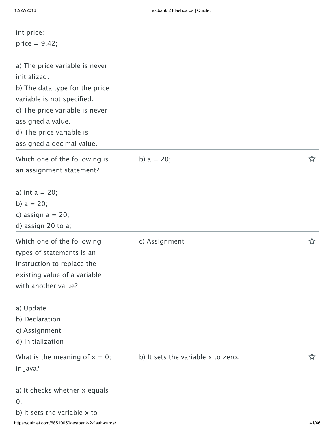$\overline{\phantom{a}}$ 

| int price;<br>price $= 9.42$ ;                                                                                                                                                                                                 |                                    |   |
|--------------------------------------------------------------------------------------------------------------------------------------------------------------------------------------------------------------------------------|------------------------------------|---|
| a) The price variable is never<br>initialized.<br>b) The data type for the price<br>variable is not specified.<br>c) The price variable is never<br>assigned a value.<br>d) The price variable is<br>assigned a decimal value. |                                    |   |
| Which one of the following is<br>an assignment statement?                                                                                                                                                                      | b) $a = 20$ ;                      | ☆ |
| a) int $a = 20$ ;<br>b) $a = 20$ ;<br>c) assign $a = 20$ ;<br>d) assign 20 to a;                                                                                                                                               |                                    |   |
| Which one of the following<br>types of statements is an<br>instruction to replace the<br>existing value of a variable<br>with another value?                                                                                   | c) Assignment                      | ☆ |
| a) Update<br>b) Declaration<br>c) Assignment<br>d) Initialization                                                                                                                                                              |                                    |   |
| What is the meaning of $x = 0$ ;<br>in Java?                                                                                                                                                                                   | b) It sets the variable x to zero. | ☆ |
| a) It checks whether x equals<br>0.<br>b) It sets the variable x to                                                                                                                                                            |                                    |   |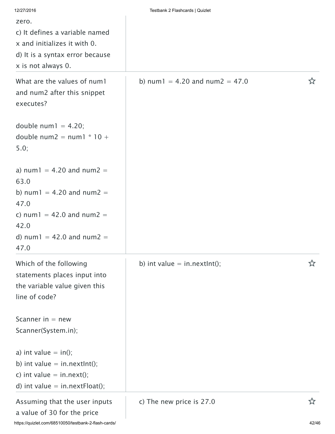| 12/27/2016                                                                                                                  | Testbank 2 Flashcards   Quizlet      |   |
|-----------------------------------------------------------------------------------------------------------------------------|--------------------------------------|---|
| zero.                                                                                                                       |                                      |   |
| c) It defines a variable named                                                                                              |                                      |   |
| x and initializes it with 0.                                                                                                |                                      |   |
| d) It is a syntax error because                                                                                             |                                      |   |
| x is not always 0.                                                                                                          |                                      |   |
| What are the values of num1<br>and num2 after this snippet<br>executes?                                                     | b) num $1 = 4.20$ and num $2 = 47.0$ | ☆ |
| double num $1 = 4.20$ ;<br>double num2 = num1 $*$ 10 +<br>5.0;                                                              |                                      |   |
| a) num1 = 4.20 and num2 =<br>63.0                                                                                           |                                      |   |
| b) num1 = 4.20 and num2 =                                                                                                   |                                      |   |
| 47.0                                                                                                                        |                                      |   |
| c) num1 = 42.0 and num2 =                                                                                                   |                                      |   |
| 42.0                                                                                                                        |                                      |   |
| d) num1 = 42.0 and num2 =<br>47.0                                                                                           |                                      |   |
| Which of the following<br>statements places input into<br>the variable value given this<br>line of code?                    | b) int value = in.nextlnt();         |   |
| Scanner in $=$ new                                                                                                          |                                      |   |
| Scanner(System.in);                                                                                                         |                                      |   |
| a) int value $=$ in();<br>b) int value $=$ in.nextlnt();<br>c) int value $=$ in.next();<br>d) int value = $in.nextFloat();$ |                                      |   |
| Assuming that the user inputs<br>a value of 30 for the price                                                                | c) The new price is 27.0             | ☆ |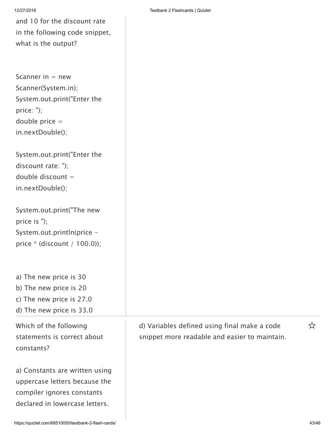and 10 for the discount rate in the following code snippet, what is the output?

Scanner in  $=$  new Scanner(System.in); System.out.print("Enter the price: "); double price = in.nextDouble();

System.out.print("Enter the discount rate: "); double discount  $=$ in.nextDouble();

| System.out.print("The new       |
|---------------------------------|
| price is $"$ );                 |
| System.out.println(price -      |
| price $*($ (discount / 100.0)); |

a) The new price is 30 b) The new price is 20 c) The new price is 27.0

d) The new price is 33.0

Which of the following statements is correct about constants?

a) Constants are written using uppercase letters because the compiler ignores constants declared in lowercase letters.

12/27/2016 Testbank 2 Flashcards | Quizlet

d) Variables defined using final make a code  $\hat{x}$ snippet more readable and easier to maintain.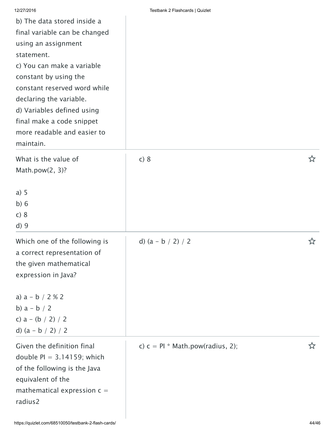| b) The data stored inside a<br>final variable can be changed<br>using an assignment<br>statement.<br>c) You can make a variable<br>constant by using the<br>constant reserved word while<br>declaring the variable.<br>d) Variables defined using<br>final make a code snippet<br>more readable and easier to<br>maintain. |                                    |   |
|----------------------------------------------------------------------------------------------------------------------------------------------------------------------------------------------------------------------------------------------------------------------------------------------------------------------------|------------------------------------|---|
| What is the value of<br>Math.pow(2, 3)?<br>a) 5<br>b)6<br>c) 8<br>d)9                                                                                                                                                                                                                                                      | c) 8                               | ☆ |
| Which one of the following is<br>a correct representation of<br>the given mathematical<br>expression in Java?<br>a) $a - b / 2 % 2$<br>b) $a - b / 2$<br>c) $a - (b / 2) / 2$<br>d) $(a - b / 2) / 2$                                                                                                                      | d) $(a - b / 2) / 2$               | ☆ |
| Given the definition final<br>double $PI = 3.14159$ ; which<br>of the following is the Java<br>equivalent of the<br>mathematical expression $c =$<br>radius2                                                                                                                                                               | c) $c = Pl * Math.pow(radius, 2);$ | ☆ |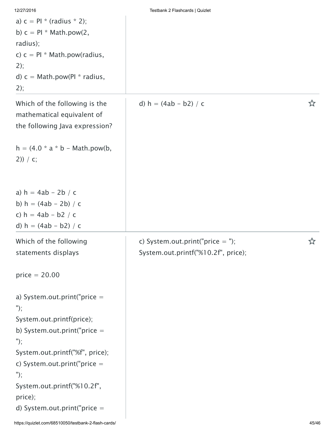|  |  | 12/27/2016 |  |
|--|--|------------|--|

| a) $c = Pl * (radius * 2);$<br>b) $c = Pl * Math.pow(2,$<br>radius);<br>c) $c = Pl * Math.pow(radius,$<br>2);<br>d) $c = Math.pow(Pl * radius,$<br>2);                                                                                                                                    |                                                                           |   |
|-------------------------------------------------------------------------------------------------------------------------------------------------------------------------------------------------------------------------------------------------------------------------------------------|---------------------------------------------------------------------------|---|
| Which of the following is the<br>mathematical equivalent of<br>the following Java expression?                                                                                                                                                                                             | d) $h = (4ab - b2) / c$                                                   | ☆ |
| $h = (4.0 * a * b - Math.pow(b,$<br>$2)$ ) / c;                                                                                                                                                                                                                                           |                                                                           |   |
| a) $h = 4ab - 2b / c$<br>b) $h = (4ab - 2b) / c$<br>c) $h = 4ab - b2 / c$<br>d) $h = (4ab - b2) / c$                                                                                                                                                                                      |                                                                           |   |
| Which of the following<br>statements displays                                                                                                                                                                                                                                             | c) System.out.print("price $=$ ");<br>System.out.printf("%10.2f", price); | ☆ |
| $price = 20.00$<br>a) System.out.print("price $=$<br>");<br>System.out.printf(price);<br>b) System.out.print("price $=$<br>");<br>System.out.printf("%f", price);<br>c) System.out.print("price $=$<br>" $);$<br>System.out.printf("%10.2f",<br>price);<br>d) System.out.print("price $=$ |                                                                           |   |